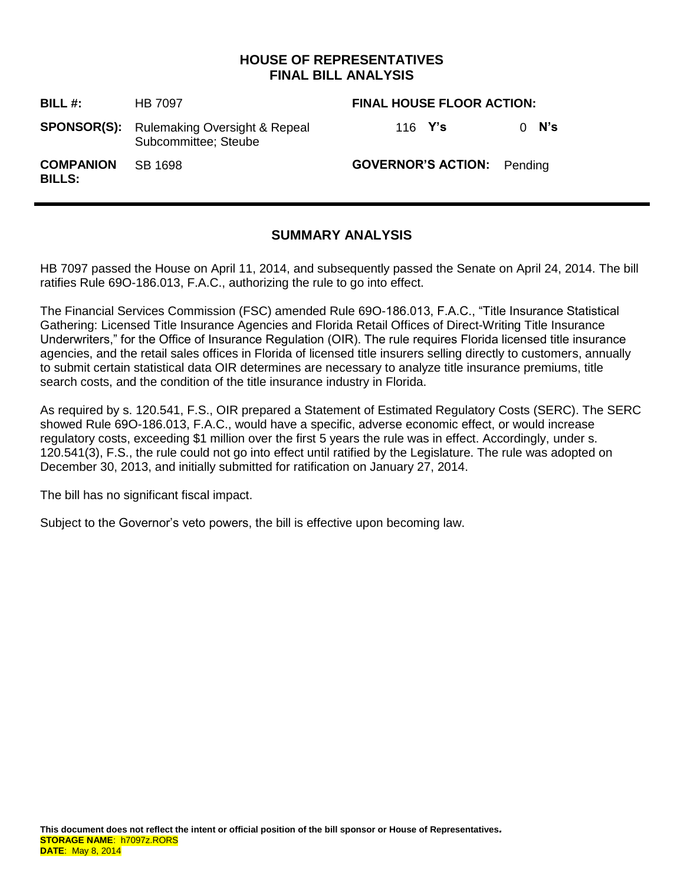# **HOUSE OF REPRESENTATIVES FINAL BILL ANALYSIS**

| BILL #:                           | <b>HB 7097</b>                                                           | <b>FINAL HOUSE FLOOR ACTION:</b>  |         |
|-----------------------------------|--------------------------------------------------------------------------|-----------------------------------|---------|
|                                   | <b>SPONSOR(S):</b> Rulemaking Oversight & Repeal<br>Subcommittee; Steube | 116 $Y's$                         | $0$ N's |
| <b>COMPANION</b><br><b>BILLS:</b> | SB 1698                                                                  | <b>GOVERNOR'S ACTION:</b> Pending |         |

# **SUMMARY ANALYSIS**

HB 7097 passed the House on April 11, 2014, and subsequently passed the Senate on April 24, 2014. The bill ratifies Rule 69O-186.013, F.A.C., authorizing the rule to go into effect.

The Financial Services Commission (FSC) amended Rule 69O-186.013, F.A.C., "Title Insurance Statistical Gathering: Licensed Title Insurance Agencies and Florida Retail Offices of Direct-Writing Title Insurance Underwriters," for the Office of Insurance Regulation (OIR). The rule requires Florida licensed title insurance agencies, and the retail sales offices in Florida of licensed title insurers selling directly to customers, annually to submit certain statistical data OIR determines are necessary to analyze title insurance premiums, title search costs, and the condition of the title insurance industry in Florida.

As required by s. 120.541, F.S., OIR prepared a Statement of Estimated Regulatory Costs (SERC). The SERC showed Rule 69O-186.013, F.A.C., would have a specific, adverse economic effect, or would increase regulatory costs, exceeding \$1 million over the first 5 years the rule was in effect. Accordingly, under s. 120.541(3), F.S., the rule could not go into effect until ratified by the Legislature. The rule was adopted on December 30, 2013, and initially submitted for ratification on January 27, 2014.

The bill has no significant fiscal impact.

Subject to the Governor's veto powers, the bill is effective upon becoming law.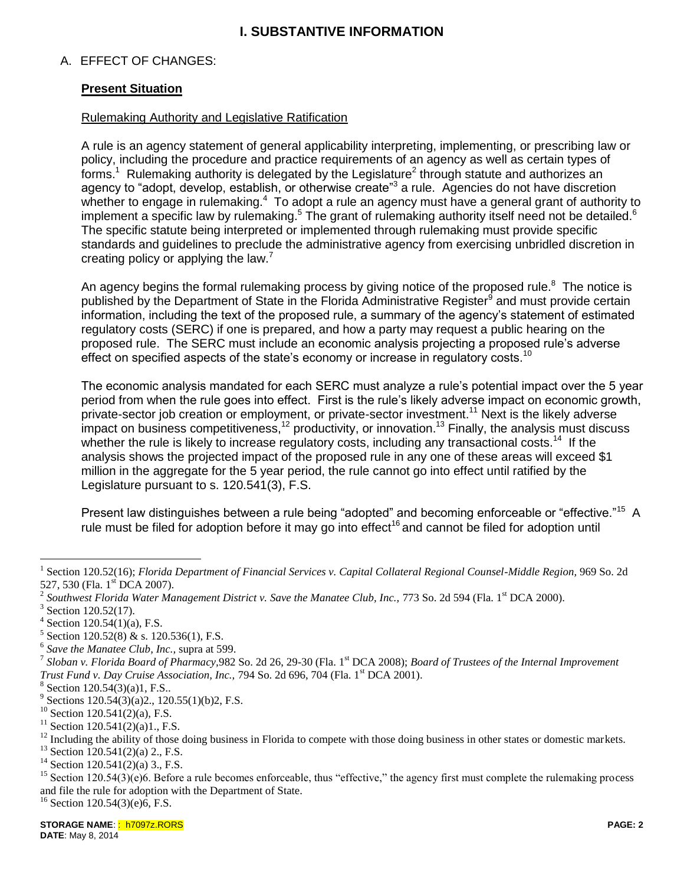# **I. SUBSTANTIVE INFORMATION**

## A. EFFECT OF CHANGES:

## **Present Situation**

#### Rulemaking Authority and Legislative Ratification

A rule is an agency statement of general applicability interpreting, implementing, or prescribing law or policy, including the procedure and practice requirements of an agency as well as certain types of forms.<sup>1</sup> Rulemaking authority is delegated by the Legislature<sup>2</sup> through statute and authorizes an agency to "adopt, develop, establish, or otherwise create"<sup>3</sup> a rule. Agencies do not have discretion whether to engage in rulemaking.<sup>4</sup> To adopt a rule an agency must have a general grant of authority to implement a specific law by rulemaking.<sup>5</sup> The grant of rulemaking authority itself need not be detailed.<sup>6</sup> The specific statute being interpreted or implemented through rulemaking must provide specific standards and guidelines to preclude the administrative agency from exercising unbridled discretion in creating policy or applying the law.<sup>7</sup>

An agency begins the formal rulemaking process by giving notice of the proposed rule. $8$  The notice is published by the Department of State in the Florida Administrative Register<sup>9</sup> and must provide certain information, including the text of the proposed rule, a summary of the agency's statement of estimated regulatory costs (SERC) if one is prepared, and how a party may request a public hearing on the proposed rule. The SERC must include an economic analysis projecting a proposed rule's adverse effect on specified aspects of the state's economy or increase in regulatory costs.<sup>10</sup>

The economic analysis mandated for each SERC must analyze a rule's potential impact over the 5 year period from when the rule goes into effect. First is the rule's likely adverse impact on economic growth, private-sector job creation or employment, or private-sector investment.<sup>11</sup> Next is the likely adverse impact on business competitiveness,<sup>12</sup> productivity, or innovation.<sup>13</sup> Finally, the analysis must discuss whether the rule is likely to increase regulatory costs, including any transactional costs.<sup>14</sup> If the analysis shows the projected impact of the proposed rule in any one of these areas will exceed \$1 million in the aggregate for the 5 year period, the rule cannot go into effect until ratified by the Legislature pursuant to s. 120.541(3), F.S.

Present law distinguishes between a rule being "adopted" and becoming enforceable or "effective."<sup>15</sup> A rule must be filed for adoption before it may go into effect<sup>16</sup> and cannot be filed for adoption until

 $\overline{a}$ 

 $16$  Section 120.54(3)(e)6, F.S.

<sup>1</sup> Section 120.52(16); *Florida Department of Financial Services v. Capital Collateral Regional Counsel-Middle Region*, 969 So. 2d 527, 530 (Fla. 1<sup>st</sup> DCA 2007).

<sup>&</sup>lt;sup>2</sup> Southwest Florida Water Management District v. Save the Manatee Club, Inc., 773 So. 2d 594 (Fla. 1<sup>st</sup> DCA 2000).<br><sup>3</sup> Section 120 52(17)

Section 120.52(17).

<sup>4</sup> Section 120.54(1)(a), F.S.

<sup>5</sup> Section 120.52(8) & s. 120.536(1), F.S.

<sup>6</sup> *Save the Manatee Club, Inc.,* supra at 599.

<sup>7</sup> *Sloban v. Florida Board of Pharmacy,*982 So. 2d 26, 29-30 (Fla. 1st DCA 2008); *Board of Trustees of the Internal Improvement Trust Fund v. Day Cruise Association, Inc., 794 So. 2d 696, 704 (Fla. 1<sup>st</sup> DCA 2001).* 

 $8$  Section 120.54(3)(a)1, F.S..

<sup>&</sup>lt;sup>9</sup> Sections 120.54(3)(a)2., 120.55(1)(b)2, F.S.

<sup>&</sup>lt;sup>10</sup> Section 120.541(2)(a), F.S.<br><sup>11</sup> Section 120.541(2)(a)1 E.S.

Section  $120.541(2)(a)1$ ., F.S.

 $^{12}$  Including the ability of those doing business in Florida to compete with those doing business in other states or domestic markets.

 $13$  Section 120.541(2)(a) 2., F.S.

 $14$  Section 120.541(2)(a) 3., F.S.

<sup>&</sup>lt;sup>15</sup> Section 120.54(3)(e)6. Before a rule becomes enforceable, thus "effective," the agency first must complete the rulemaking process and file the rule for adoption with the Department of State.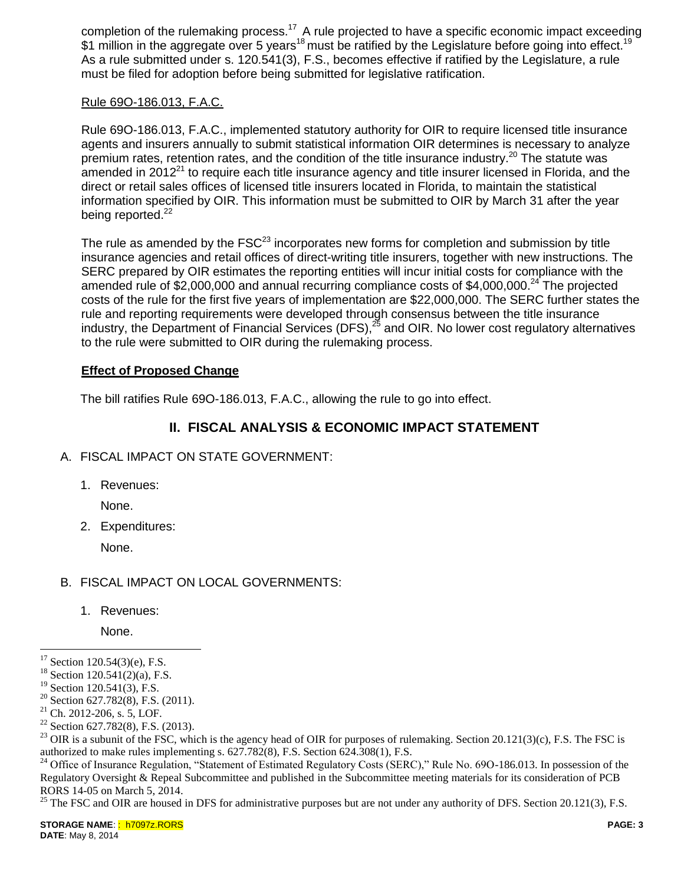completion of the rulemaking process.<sup>17</sup> A rule projected to have a specific economic impact exceeding \$1 million in the aggregate over 5 years<sup>18</sup> must be ratified by the Legislature before going into effect.<sup>19</sup> As a rule submitted under s. 120.541(3), F.S., becomes effective if ratified by the Legislature, a rule must be filed for adoption before being submitted for legislative ratification.

## Rule 69O-186.013, F.A.C.

Rule 69O-186.013, F.A.C., implemented statutory authority for OIR to require licensed title insurance agents and insurers annually to submit statistical information OIR determines is necessary to analyze premium rates, retention rates, and the condition of the title insurance industry.<sup>20</sup> The statute was amended in 2012 $^{21}$  to require each title insurance agency and title insurer licensed in Florida, and the direct or retail sales offices of licensed title insurers located in Florida, to maintain the statistical information specified by OIR. This information must be submitted to OIR by March 31 after the year being reported.<sup>22</sup>

The rule as amended by the  $FSC^{23}$  incorporates new forms for completion and submission by title insurance agencies and retail offices of direct-writing title insurers, together with new instructions. The SERC prepared by OIR estimates the reporting entities will incur initial costs for compliance with the amended rule of \$2,000,000 and annual recurring compliance costs of \$4,000,000.<sup>24</sup> The projected costs of the rule for the first five years of implementation are \$22,000,000. The SERC further states the rule and reporting requirements were developed through consensus between the title insurance industry, the Department of Financial Services (DFS), $^{25}$  and OIR. No lower cost regulatory alternatives to the rule were submitted to OIR during the rulemaking process.

#### **Effect of Proposed Change**

The bill ratifies Rule 69O-186.013, F.A.C., allowing the rule to go into effect.

## **II. FISCAL ANALYSIS & ECONOMIC IMPACT STATEMENT**

- A. FISCAL IMPACT ON STATE GOVERNMENT:
	- 1. Revenues:

None.

2. Expenditures:

None.

## B. FISCAL IMPACT ON LOCAL GOVERNMENTS:

1. Revenues:

None.

<sup>25</sup> The FSC and OIR are housed in DFS for administrative purposes but are not under any authority of DFS. Section 20.121(3), F.S.

 $\overline{a}$  $17$  Section 120.54(3)(e), F.S.

 $18$  Section 120.541(2)(a), F.S.

<sup>&</sup>lt;sup>19</sup> Section 120.541(3), F.S.

<sup>&</sup>lt;sup>20</sup> Section 627.782(8), F.S. (2011).

<sup>21</sup> Ch. 2012-206, s. 5, LOF.

<sup>&</sup>lt;sup>22</sup> Section 627.782(8), F.S. (2013).

<sup>&</sup>lt;sup>23</sup> OIR is a subunit of the FSC, which is the agency head of OIR for purposes of rulemaking. Section 20.121(3)(c), F.S. The FSC is authorized to make rules implementing s. 627.782(8), F.S. Section 624.308(1), F.S.

<sup>&</sup>lt;sup>24</sup> Office of Insurance Regulation, "Statement of Estimated Regulatory Costs (SERC)," Rule No. 69O-186.013. In possession of the Regulatory Oversight & Repeal Subcommittee and published in the Subcommittee meeting materials for its consideration of PCB RORS 14-05 on March 5, 2014.